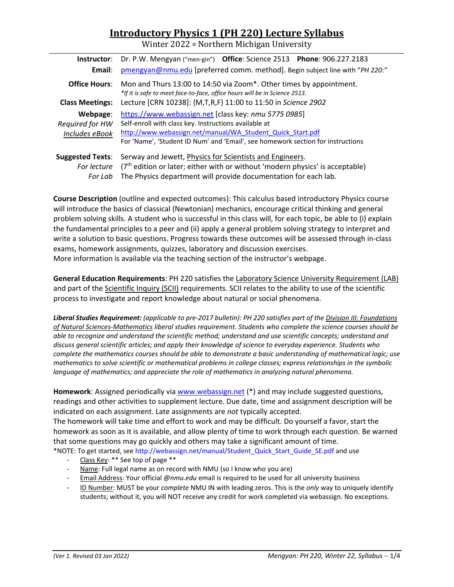# **Introductory Physics 1 (PH 220) Lecture Syllabus**

Winter 2022 ∘ Northern Michigan University

| Instructor:             | Dr. P.W. Mengyan ("men-gin") Office: Science 2513 Phone: 906.227.2183                                                                             |  |  |  |
|-------------------------|---------------------------------------------------------------------------------------------------------------------------------------------------|--|--|--|
| Email:                  | pmengyan@nmu.edu [preferred comm. method]. Begin subject line with "PH 220:"                                                                      |  |  |  |
| <b>Office Hours:</b>    | Mon and Thurs 13:00 to 14:50 via Zoom*. Other times by appointment.<br>*If it is safe to meet face-to-face, office hours will be in Science 2513. |  |  |  |
| <b>Class Meetings:</b>  | Lecture [CRN 10238]: {M,T,R,F} 11:00 to 11:50 in Science 2902                                                                                     |  |  |  |
| Webpage:                | https://www.webassign.net [class key: nmu 5775 0985]                                                                                              |  |  |  |
| Required for HW         | Self-enroll with class key. Instructions available at                                                                                             |  |  |  |
| Includes eBook          | http://www.webassign.net/manual/WA Student Quick Start.pdf                                                                                        |  |  |  |
|                         | For 'Name', 'Student ID Num' and 'Email', see homework section for instructions                                                                   |  |  |  |
| <b>Suggested Texts:</b> | Serway and Jewett, Physics for Scientists and Engineers.                                                                                          |  |  |  |
| For lecture             | $(7th$ edition or later; either with or without 'modern physics' is acceptable)                                                                   |  |  |  |
| For Lab                 | The Physics department will provide documentation for each lab.                                                                                   |  |  |  |

**Course Description** (outline and expected outcomes): This calculus based introductory Physics course will introduce the basics of classical (Newtonian) mechanics, encourage critical thinking and general problem solving skills. A student who is successful in this class will, for each topic, be able to (i) explain the fundamental principles to a peer and (ii) apply a general problem solving strategy to interpret and write a solution to basic questions. Progress towards these outcomes will be assessed through in-class exams, homework assignments, quizzes, laboratory and discussion exercises. More information is available via the teaching section of the instructor's webpage.

**General Education Requirements**: PH 220 satisfies the Laboratory Science University Requirement (LAB) and part of the Scientific Inquiry (SCII) requirements. SCII relates to the ability to use of the scientific process to investigate and report knowledge about natural or social phenomena.

*Liberal Studies Requirement: (applicable to pre-2017 bulletin): PH 220 satisfies part of the Division III: Foundations of Natural Sciences-Mathematics liberal studies requirement. Students who complete the science courses should be able to recognize and understand the scientific method; understand and use scientific concepts; understand and discuss general scientific articles; and apply their knowledge of science to everyday experience. Students who complete the mathematics courses should be able to demonstrate a basic understanding of mathematical logic; use mathematics to solve scientific or mathematical problems in college classes; express relationships in the symbolic language of mathematics; and appreciate the role of mathematics in analyzing natural phenomena.* 

**Homework**: Assigned periodically vi[a www.webassign.net](http://www.webassign.net/) (\*) and may include suggested questions, readings and other activities to supplement lecture. Due date, time and assignment description will be indicated on each assignment. Late assignments are *not* typically accepted.

The homework will take time and effort to work and may be difficult. Do yourself a favor, start the homework as soon as it is available, and allow plenty of time to work through each question. Be warned that some questions may go quickly and others may take a significant amount of time.

- \*NOTE: To get started, se[e http://webassign.net/manual/Student\\_Quick\\_Start\\_Guide\\_SE.pdf](http://webassign.net/manual/Student_Quick_Start_Guide_SE.pdf) and use
	- Class Key: \*\* See top of page \*\*
	- Name: Full legal name as on record with NMU (so I know who you are)
	- Email Address: Your official *@nmu.edu* email is required to be used for all university business
	- ID Number: MUST be your *complete* NMU IN with leading zeros. This is the *only* way to uniquely identify students; without it, you will NOT receive any credit for work completed via webassign. No exceptions.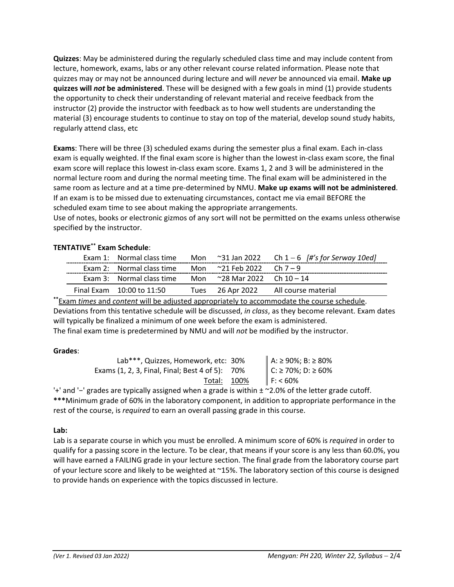**Quizzes**: May be administered during the regularly scheduled class time and may include content from lecture, homework, exams, labs or any other relevant course related information. Please note that quizzes may or may not be announced during lecture and will *never* be announced via email. **Make up quizzes will** *not* **be administered**. These will be designed with a few goals in mind (1) provide students the opportunity to check their understanding of relevant material and receive feedback from the instructor (2) provide the instructor with feedback as to how well students are understanding the material (3) encourage students to continue to stay on top of the material, develop sound study habits, regularly attend class, etc

**Exams**: There will be three (3) scheduled exams during the semester plus a final exam. Each in-class exam is equally weighted. If the final exam score is higher than the lowest in-class exam score, the final exam score will replace this lowest in-class exam score. Exams 1, 2 and 3 will be administered in the normal lecture room and during the normal meeting time. The final exam will be administered in the same room as lecture and at a time pre-determined by NMU. **Make up exams will not be administered**. If an exam is to be missed due to extenuating circumstances, contact me via email BEFORE the scheduled exam time to see about making the appropriate arrangements.

Use of notes, books or electronic gizmos of any sort will not be permitted on the exams unless otherwise specified by the instructor.

|  |                                                              |  |  | Exam 1: Normal class time Mon $\approx$ 31 Jan 2022 Ch 1 – 6 $\frac{H}{s}$ for Serway 10ed |  |  |
|--|--------------------------------------------------------------|--|--|--------------------------------------------------------------------------------------------|--|--|
|  | Exam 2: Normal class time Mon $\approx$ 21 Feb 2022 Ch 7 – 9 |  |  |                                                                                            |  |  |
|  | Exam 3: Normal class time Mon $\sim$ 28 Mar 2022 Ch 10 – 14  |  |  |                                                                                            |  |  |
|  | Final Exam 10:00 to 11:50                                    |  |  | Tues 26 Apr 2022 All course material                                                       |  |  |
|  |                                                              |  |  |                                                                                            |  |  |

# **TENTATIVE\*\* Exam Schedule**:

**\*\***Exam *times* and *content* will be adjusted appropriately to accommodate the course schedule. Deviations from this tentative schedule will be discussed, *in class*, as they become relevant. Exam dates will typically be finalized a minimum of one week before the exam is administered. The final exam time is predetermined by NMU and will *not* be modified by the instructor.

## **Grades**:

| Lab***, Quizzes, Homework, etc: 30%             |                                          |
|-------------------------------------------------|------------------------------------------|
| Exams (1, 2, 3, Final, Final; Best 4 of 5): 70% | A: ≥ 90%; B: ≥ 80%<br>C: ≥ 70%; D: ≥ 60% |
| Total: 100%                                     | $F: < 60\%$                              |

'+' and '−' grades are typically assigned when a grade is within ± ~2.0% of the letter grade cutoff. **\*\*\***Minimum grade of 60% in the laboratory component, in addition to appropriate performance in the rest of the course, is *required* to earn an overall passing grade in this course.

## **Lab:**

Lab is a separate course in which you must be enrolled. A minimum score of 60% is *required* in order to qualify for a passing score in the lecture. To be clear, that means if your score is any less than 60.0%, you will have earned a FAILING grade in your lecture section. The final grade from the laboratory course part of your lecture score and likely to be weighted at ~15%. The laboratory section of this course is designed to provide hands on experience with the topics discussed in lecture.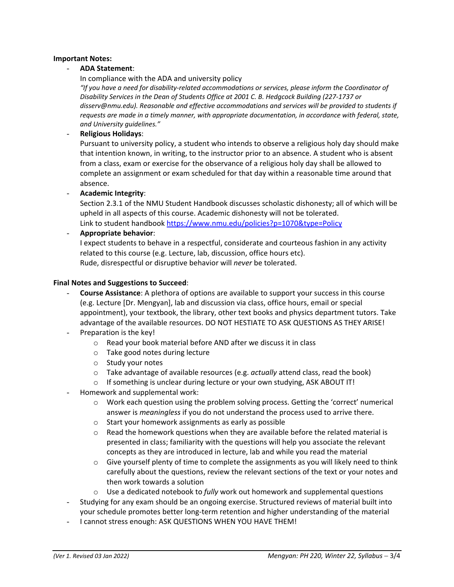#### **Important Notes:**

#### - **ADA Statement**:

In compliance with the ADA and university policy

*"If you have a need for disability-related accommodations or services, please inform the Coordinator of Disability Services in the Dean of Students Office at 2001 C. B. Hedgcock Building (227-1737 or disserv@nmu.edu). Reasonable and effective accommodations and services will be provided to students if requests are made in a timely manner, with appropriate documentation, in accordance with federal, state, and University guidelines."*

#### - **Religious Holidays**:

Pursuant to university policy, a student who intends to observe a religious holy day should make that intention known, in writing, to the instructor prior to an absence. A student who is absent from a class, exam or exercise for the observance of a religious holy day shall be allowed to complete an assignment or exam scheduled for that day within a reasonable time around that absence.

- **Academic Integrity**:

Section 2.3.1 of the NMU Student Handbook discusses scholastic dishonesty; all of which will be upheld in all aspects of this course. Academic dishonesty will not be tolerated. Link to student handbook<https://www.nmu.edu/policies?p=1070&type=Policy>

- **Appropriate behavior**:

I expect students to behave in a respectful, considerate and courteous fashion in any activity related to this course (e.g. Lecture, lab, discussion, office hours etc). Rude, disrespectful or disruptive behavior will *never* be tolerated.

#### **Final Notes and Suggestions to Succeed**:

- **Course Assistance**: A plethora of options are available to support your success in this course (e.g. Lecture [Dr. Mengyan], lab and discussion via class, office hours, email or special appointment), your textbook, the library, other text books and physics department tutors. Take advantage of the available resources. DO NOT HESTIATE TO ASK QUESTIONS AS THEY ARISE!
- Preparation is the key!
	- o Read your book material before AND after we discuss it in class
	- o Take good notes during lecture
	- o Study your notes
	- o Take advantage of available resources (e.g. *actually* attend class, read the book)
	- o If something is unclear during lecture or your own studying, ASK ABOUT IT!
- Homework and supplemental work:
	- o Work each question using the problem solving process. Getting the 'correct' numerical answer is *meaningless* if you do not understand the process used to arrive there.
	- o Start your homework assignments as early as possible
	- o Read the homework questions when they are available before the related material is presented in class; familiarity with the questions will help you associate the relevant concepts as they are introduced in lecture, lab and while you read the material
	- $\circ$  Give yourself plenty of time to complete the assignments as you will likely need to think carefully about the questions, review the relevant sections of the text or your notes and then work towards a solution
	- o Use a dedicated notebook to *fully* work out homework and supplemental questions
- Studying for any exam should be an ongoing exercise. Structured reviews of material built into your schedule promotes better long-term retention and higher understanding of the material
- I cannot stress enough: ASK QUESTIONS WHEN YOU HAVE THEM!